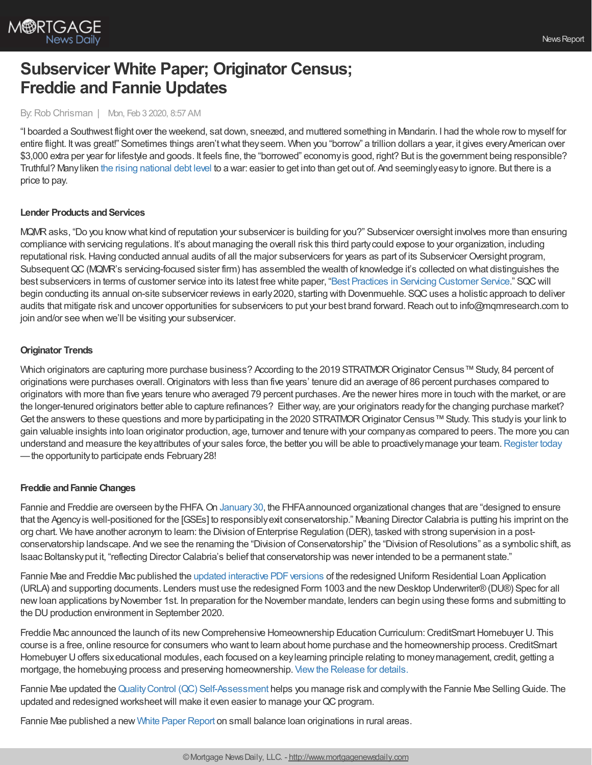

# **Subservicer White Paper; Originator Census; Freddie and Fannie Updates**

#### By:Rob Chrisman | Mon, Feb 3 2020, 8:57 AM

"I boarded a Southwest flight over the weekend, sat down, sneezed, and muttered something in Mandarin. I had the whole rowto myself for entire flight. It was great!" Sometimes things aren't what they seem. When you "borrow" a trillion dollars a year, it gives every American over \$3,000 extra per year for lifestyle and goods. It feels fine, the "borrowed" economyis good, right? But is the government being responsible? Truthful? Manyliken the rising [national](https://edition.cnn.com/2020/01/30/politics/cbo-deficit-projections-trump/index.html) debt level to a war: easier to get into than get out of. And seeminglyeasyto ignore. But there is a price to pay.

#### **Lender Products and Services**

MQMRasks, "Do you knowwhat kind of reputation your subservicer is building for you?" Subservicer oversight involves more than ensuring compliance with servicing regulations. It's about managing the overall risk this third partycould expose to your organization, including reputational risk. Having conducted annual audits of all the major subservicers for years as part of its Subservicer Oversight program, Subsequent QC (MQMR's servicing-focused sister firm) has assembled the wealth of knowledge it's collected on what distinguishes the best subservicers in terms of customer service into its latest free white paper, "Best Practices in Servicing [Customer](https://hubs.ly/H0mPTKR0) Service." SQCwill begin conducting its annual on-site subservicer reviews in early 2020, starting with Dovenmuehle. SQC uses a holistic approach to deliver audits that mitigate risk and uncover opportunities for subservicers to put your best brand forward. Reach out to info@mqmresearch.com to join and/or see when we'll be visiting your subservicer.

#### **Originator Trends**

Which originators are capturing more purchase business? According to the 2019 STRATMOR Originator Census™ Study, 84 percent of originations were purchases overall.Originators with less than five years' tenure did an average of 86 percent purchases compared to originators with more than five years tenure who averaged 79 percent purchases. Are the newer hires more in touch with the market, or are the longer-tenured originators better able to capture refinances? Either way, are your originators readyfor the changing purchase market? Get the answers to these questions and more by participating in the 2020 STRATMOR Originator Census™ Study. This study is your link to gain valuable insights into loan originator production, age, turnover and tenure with your companyas compared to peers. The more you can understand and measure the key attributes of your sales force, the better you will be able to proactively manage your team. [Register](http://www.stratmorprograms.com/d/1hq40b) today —the opportunityto participate ends February28!

#### **Freddie andFannie Changes**

Fannie and Freddie are overseen by the FHFA. On January 30, the FHFA announced organizational changes that are "designed to ensure that the Agencyis well-positioned for the [GSEs] to responsiblyexit conservatorship." Meaning Director Calabria is putting his imprint on the org chart. We have another acronym to learn: the Division of Enterprise Regulation (DER), tasked with strong supervision in a postconservatorship landscape. And we see the renaming the "Division ofConservatorship" the "Division ofResolutions" as a symbolic shift, as Isaac Boltanskyput it, "reflecting Director Calabria's belief that conservatorship was never intended to be a permanent state."

Fannie Mae and Freddie Mac published the updated interactive PDF versions of the redesigned Uniform Residential Loan Application (URLA) and supporting documents. Lenders must use the redesigned Form 1003 and the newDesktop Underwriter®(DU®) Spec for all newloan applications byNovember 1st. In preparation for the November mandate, lenders can begin using these forms and submitting to the DU production environment in September 2020.

Freddie Mac announced the launch of its new Comprehensive Homeownership Education Curriculum: CreditSmart Homebuyer U. This course is a free, online resource for consumers who want to learn about home purchase and the homeownership process.CreditSmart Homebuyer Uoffers sixeducational modules, each focused on a keylearning principle relating to moneymanagement, credit, getting a mortgage, the homebuying process and preserving homeownership. Viewthe [Release](https://freddiemac.gcs-web.com/news-releases/news-release-details/freddie-mac-launches-creditsmart-homebuyer-u-comprehensive) for details.

Fannie Mae updated the Quality Control (QC) [Self-Assessment](https://www.fanniemae.com/deliveremortgage/index.html) helps you manage risk and comply with the Fannie Mae Selling Guide. The updated and redesigned worksheet will make it even easier to manage your QC program.

Fannie Mae published a new White Paper [Report](https://www.fanniemae.com/resources/file/research/housingsurvey/pdf/analysis-of-small-balance-loan-origination.pdf?utm_campaign=ssn-sell2019iss&utm_source=sfsfmc&utm_medium=email&utm_content=eml-noa-010820b-o-n&utm_term=b2b) on small balance loan originations in rural areas.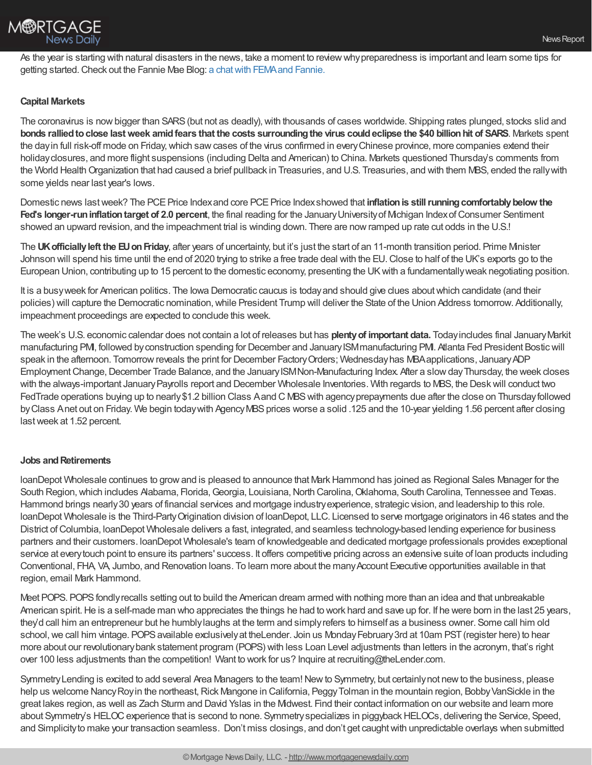As the year is starting with natural disasters in the news, take a moment to reviewwhypreparedness is important and learn some tips for getting started. Check out the Fannie Mae Blog: a chat with FEMA and Fannie.

## **Capital Markets**

The coronavirus is now bigger than SARS (but not as deadly), with thousands of cases worldwide. Shipping rates plunged, stocks slid and bonds rallied to close last week amid fears that the costs surrounding the virus could eclipse the \$40 billion hit of SARS. Markets spent the dayin full risk-off mode on Friday,which sawcases of the virus confirmed in everyChinese province, more companies extend their holidayclosures, and more flight suspensions (including Delta and American) to China. Markets questioned Thursday's comments from the World Health Organization that had caused a brief pullback in Treasuries, and U.S. Treasuries, and with them MBS, ended the rally with some yields near last year's lows.

Domestic news lastweek? The PCEPrice Indexand core PCEPrice Indexshowed that **inflationis stillrunningcomfortablybelow the Fed's longer-runinflationtarget of 2.0 percent**, the final reading for the JanuaryUniversityof Michigan IndexofConsumer Sentiment showed an upward revision, and the impeachment trial is winding down. There are nowramped up rate cut odds in the U.S.!

The **UKofficiallyleft the EUonFriday**, after years of uncertainty, but it's just the start of an 11-month transition period. Prime Minister Johnson will spend his time until the end of 2020 trying to strike a free trade deal with the EU.Close to half of the UK's exports go to the European Union, contributing up to 15 percent to the domestic economy, presenting the UKwith a fundamentallyweak negotiating position.

It is a busyweek for American politics. The Iowa Democratic caucus is todayand should give clues aboutwhich candidate (and their policies) will capture the Democratic nomination, while President Trump will deliver the State of the Union Address tomorrow. Additionally, impeachment proceedings are expected to conclude this week.

The week's U.S. economic calendar does not contain a lot of releases but has **plentyof important data.** Todayincludes final JanuaryMarkit manufacturing PMI, followed byconstruction spending for December and JanuaryISMmanufacturing PMI. Atlanta Fed President Bosticwill speak in the afternoon. Tomorrow reveals the print for December Factory Orders; Wednesday has MBA applications, January ADP Employment Change, December Trade Balance, and the January ISMNon-Manufacturing Index. After a slow day Thursday, the week closes with the always-important JanuaryPayrolls report and December Wholesale Inventories. With regards to MBS, the Deskwill conduct two FedTrade operations buying up to nearly\$1.2 billion Class Aand C MBSwith agencyprepayments due after the close on Thursdayfollowed by Class Anet out on Friday. We begin today with Agency MBS prices worse a solid .125 and the 10-year yielding 1.56 percent after closing lastweek at 1.52 percent.

### **Jobs** and Retirements

loanDepot Wholesale continues to grow and is pleased to announce that Mark Hammond has joined as Regional Sales Manager for the South Region, which includes Alabama, Florida, Georgia, Louisiana, North Carolina, Oklahoma, South Carolina, Tennessee and Texas. Hammond brings nearly 30 years of financial services and mortgage industry experience, strategic vision, and leadership to this role. loanDepot Wholesale is the Third-PartyOrigination division of loanDepot, LLC. Licensed to serve mortgage originators in 46 states and the District of Columbia, loanDepot Wholesale delivers a fast, integrated, and seamless technology-based lending experience for business partners and their customers. loanDepot Wholesale's team of knowledgeable and dedicated mortgage professionals provides exceptional service at every touch point to ensure its partners' success. It offers competitive pricing across an extensive suite of loan products including Conventional, FHA, VA, Jumbo, and Renovation loans. To learn more about the manyAccount Executive opportunities available in that region, email Mark Hammond.

Meet POPS. POPS fondly recalls setting out to build the American dream armed with nothing more than an idea and that unbreakable American spirit. He is a self-made man who appreciates the things he had to work hard and save up for. If he were born in the last 25 years, they'd call him an entrepreneur but he humblylaughs at the term and simplyrefers to himself as a business owner. Some call him old school, we call him vintage. POPS available exclusively at the Lender. Join us Monday February 3rd at 10am PST (register here) to hear more about our revolutionarybank statement program (POPS) with less Loan Level adjustments than letters in the acronym, that's right over 100 less adjustments than the competition! Want to work for us? Inquire at recruiting@theLender.com.

SymmetryLending is excited to add several Area Managers to the team!Newto Symmetry, but certainlynot newto the business, please help us welcome Nancy Roy in the northeast, Rick Mangone in California, Peggy Tolman in the mountain region, Bobby VanSickle in the great lakes region, as well as Zach Sturm and David Yslas in the Midwest. Find their contact information on our website and learn more about Symmetry's HELOC experience that is second to none. Symmetry specializes in piggyback HELOCs, delivering the Service, Speed, and Simplicityto make your transaction seamless. Don't miss closings, and don't get caughtwith unpredictable overlays when submitted